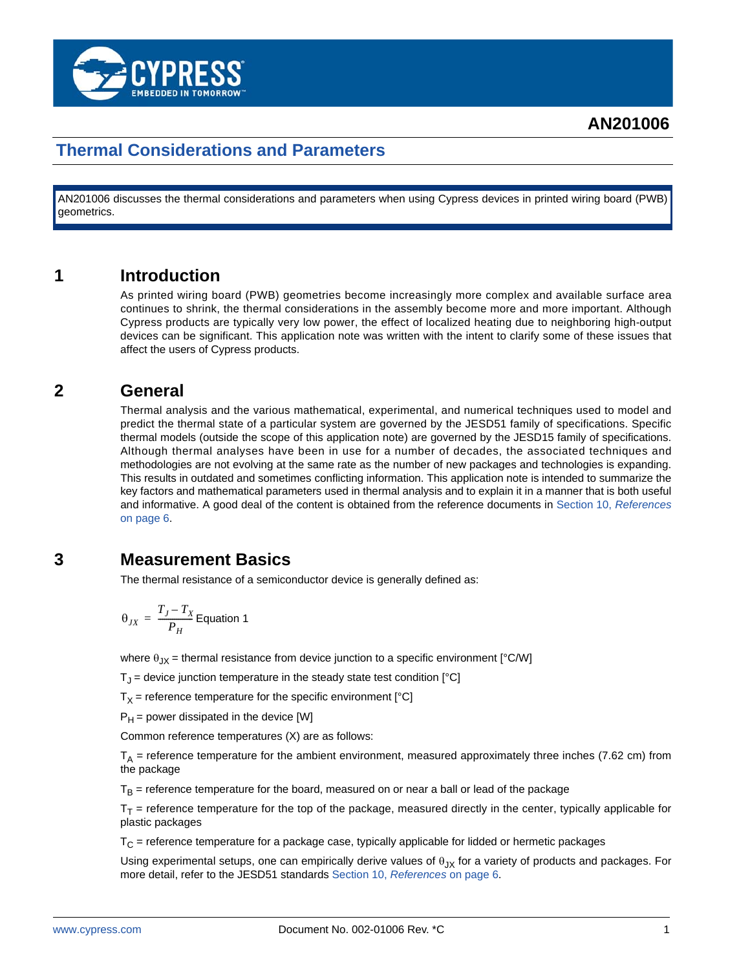

## **Thermal Considerations and Parameters**

AN201006 discusses the thermal considerations and parameters when using Cypress devices in printed wiring board (PWB) geometrics.

#### **1 Introduction**

As printed wiring board (PWB) geometries become increasingly more complex and available surface area continues to shrink, the thermal considerations in the assembly become more and more important. Although Cypress products are typically very low power, the effect of localized heating due to neighboring high-output devices can be significant. This application note was written with the intent to clarify some of these issues that affect the users of Cypress products.

#### **2 General**

Thermal analysis and the various mathematical, experimental, and numerical techniques used to model and predict the thermal state of a particular system are governed by the JESD51 family of specifications. Specific thermal models (outside the scope of this application note) are governed by the JESD15 family of specifications. Although thermal analyses have been in use for a number of decades, the associated techniques and methodologies are not evolving at the same rate as the number of new packages and technologies is expanding. This results in outdated and sometimes conflicting information. This application note is intended to summarize the key factors and mathematical parameters used in thermal analysis and to explain it in a manner that is both useful and informative. A good deal of the content is obtained from the reference documents in [Section 10,](#page-5-0) *Reference[s](#page-5-0)* [on page 6](#page-5-0).

#### <span id="page-0-0"></span>**3 Measurement Basics**

The thermal resistance of a semiconductor device is generally defined as:

$$
\theta_{JX} = \frac{T_J - T_X}{P_H}
$$
 Equation 1

where  $\theta_{JX}$  = thermal resistance from device junction to a specific environment [°C/W]

 $T_J$  = device junction temperature in the steady state test condition [°C]

 $T<sub>X</sub>$  = reference temperature for the specific environment [°C]

 $P_H$  = power dissipated in the device [W]

Common reference temperatures (X) are as follows:

 $T_A$  = reference temperature for the ambient environment, measured approximately three inches (7.62 cm) from the package

 $T<sub>B</sub>$  = reference temperature for the board, measured on or near a ball or lead of the package

 $T_T$  = reference temperature for the top of the package, measured directly in the center, typically applicable for plastic packages

 $T<sub>C</sub>$  = reference temperature for a package case, typically applicable for lidded or hermetic packages

Using experimental setups, one can empirically derive values of  $\theta_{JX}$  for a variety of products and packages. For more detail, refer to the JESD51 standards [Section 10,](#page-5-0) *References* on page 6.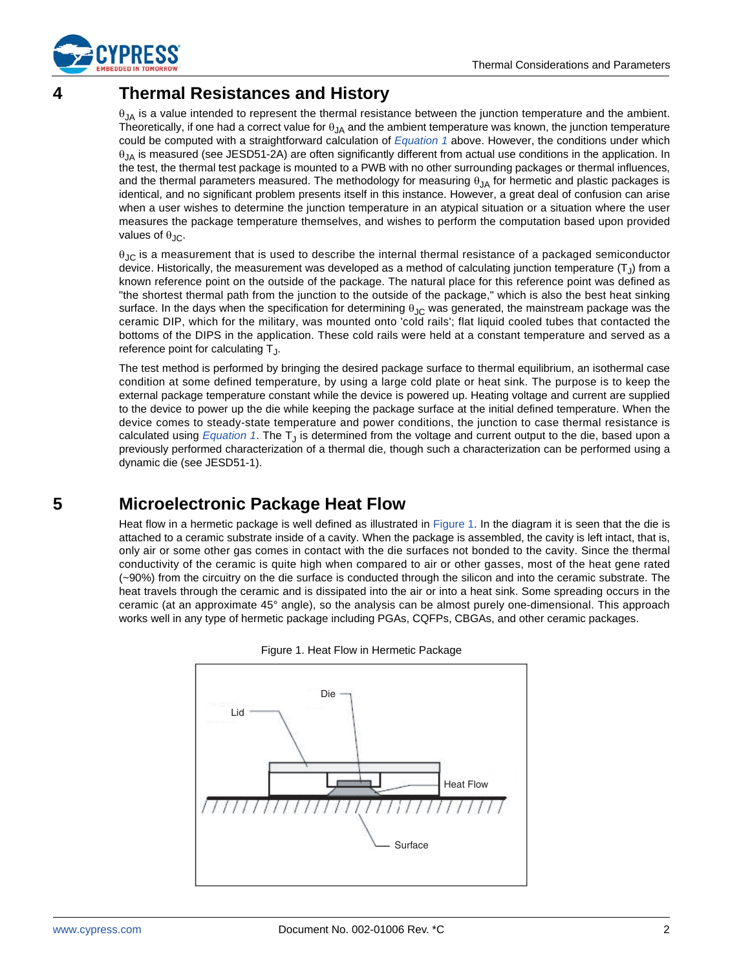

# **4 Thermal Resistances and History**

 $\theta_{JA}$  is a value intended to represent the thermal resistance between the junction temperature and the ambient. Theoretically, if one had a correct value for  $\theta_{JA}$  and the ambient temperature was known, the junction temperature could be computed with a straightforward calculation of *[Equation 1](#page-0-0)* above. However, the conditions under which  $\theta_{JA}$  is measured (see JESD51-2A) are often significantly different from actual use conditions in the application. In the test, the thermal test package is mounted to a PWB with no other surrounding packages or thermal influences, and the thermal parameters measured. The methodology for measuring  $\theta_{1A}$  for hermetic and plastic packages is identical, and no significant problem presents itself in this instance. However, a great deal of confusion can arise when a user wishes to determine the junction temperature in an atypical situation or a situation where the user measures the package temperature themselves, and wishes to perform the computation based upon provided values of  $\theta_{\text{JC}}$ .

 $\theta_{\text{JC}}$  is a measurement that is used to describe the internal thermal resistance of a packaged semiconductor device. Historically, the measurement was developed as a method of calculating junction temperature  $(T<sub>1</sub>)$  from a known reference point on the outside of the package. The natural place for this reference point was defined as "the shortest thermal path from the junction to the outside of the package," which is also the best heat sinking surface. In the days when the specification for determining  $\theta_{JC}$  was generated, the mainstream package was the ceramic DIP, which for the military, was mounted onto 'cold rails'; flat liquid cooled tubes that contacted the bottoms of the DIPS in the application. These cold rails were held at a constant temperature and served as a reference point for calculating  $T<sub>1</sub>$ .

The test method is performed by bringing the desired package surface to thermal equilibrium, an isothermal case condition at some defined temperature, by using a large cold plate or heat sink. The purpose is to keep the external package temperature constant while the device is powered up. Heating voltage and current are supplied to the device to power up the die while keeping the package surface at the initial defined temperature. When the device comes to steady-state temperature and power conditions, the junction to case thermal resistance is calculated using *[Equation 1](#page-0-0)*. The T<sub>J</sub> is determined from the voltage and current output to the die, based upon a previously performed characterization of a thermal die, though such a characterization can be performed using a dynamic die (see JESD51-1).

# **5 Microelectronic Package Heat Flow**

Heat flow in a hermetic package is well defined as illustrated in [Figure 1](#page-1-0). In the diagram it is seen that the die is attached to a ceramic substrate inside of a cavity. When the package is assembled, the cavity is left intact, that is, only air or some other gas comes in contact with the die surfaces not bonded to the cavity. Since the thermal conductivity of the ceramic is quite high when compared to air or other gasses, most of the heat gene rated (~90%) from the circuitry on the die surface is conducted through the silicon and into the ceramic substrate. The heat travels through the ceramic and is dissipated into the air or into a heat sink. Some spreading occurs in the ceramic (at an approximate 45° angle), so the analysis can be almost purely one-dimensional. This approach works well in any type of hermetic package including PGAs, CQFPs, CBGAs, and other ceramic packages.

<span id="page-1-0"></span>

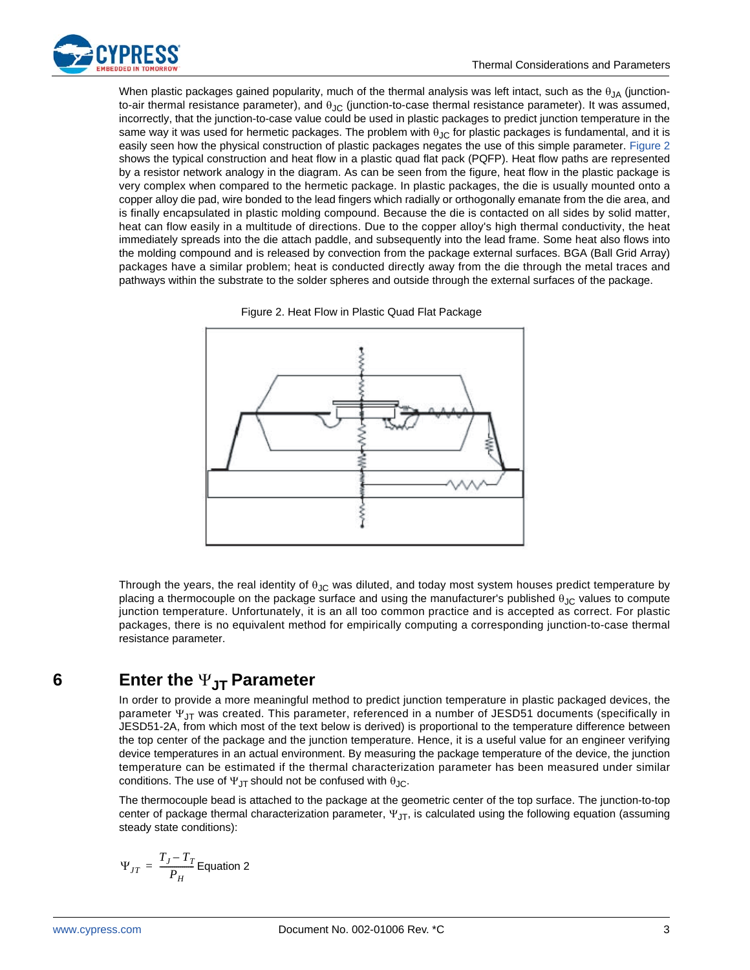

When plastic packages gained popularity, much of the thermal analysis was left intact, such as the  $\theta_{JA}$  (junctionto-air thermal resistance parameter), and  $\theta_{JC}$  (junction-to-case thermal resistance parameter). It was assumed, incorrectly, that the junction-to-case value could be used in plastic packages to predict junction temperature in the same way it was used for hermetic packages. The problem with  $\theta_{\rm JC}$  for plastic packages is fundamental, and it is easily seen how the physical construction of plastic packages negates the use of this simple parameter. [Figure 2](#page-2-0) shows the typical construction and heat flow in a plastic quad flat pack (PQFP). Heat flow paths are represented by a resistor network analogy in the diagram. As can be seen from the figure, heat flow in the plastic package is very complex when compared to the hermetic package. In plastic packages, the die is usually mounted onto a copper alloy die pad, wire bonded to the lead fingers which radially or orthogonally emanate from the die area, and is finally encapsulated in plastic molding compound. Because the die is contacted on all sides by solid matter, heat can flow easily in a multitude of directions. Due to the copper alloy's high thermal conductivity, the heat immediately spreads into the die attach paddle, and subsequently into the lead frame. Some heat also flows into the molding compound and is released by convection from the package external surfaces. BGA (Ball Grid Array) packages have a similar problem; heat is conducted directly away from the die through the metal traces and pathways within the substrate to the solder spheres and outside through the external surfaces of the package.

<span id="page-2-0"></span>



Through the years, the real identity of  $\theta_{JC}$  was diluted, and today most system houses predict temperature by placing a thermocouple on the package surface and using the manufacturer's published  $\theta_{JC}$  values to compute junction temperature. Unfortunately, it is an all too common practice and is accepted as correct. For plastic packages, there is no equivalent method for empirically computing a corresponding junction-to-case thermal resistance parameter.

### **6** Enter the  $\Psi_{\text{JT}}$  Parameter

In order to provide a more meaningful method to predict junction temperature in plastic packaged devices, the parameter  $\Psi_{JT}$  was created. This parameter, referenced in a number of JESD51 documents (specifically in JESD51-2A, from which most of the text below is derived) is proportional to the temperature difference between the top center of the package and the junction temperature. Hence, it is a useful value for an engineer verifying device temperatures in an actual environment. By measuring the package temperature of the device, the junction temperature can be estimated if the thermal characterization parameter has been measured under similar conditions. The use of  $\Psi_{\text{JT}}$  should not be confused with  $\theta_{\text{JC}}$ .

The thermocouple bead is attached to the package at the geometric center of the top surface. The junction-to-top center of package thermal characterization parameter,  $\Psi_{\text{JT}}$ , is calculated using the following equation (assuming steady state conditions):

$$
\Psi_{JT} = \frac{T_J - T_T}{P_H} \text{Equation 2}
$$

<span id="page-2-1"></span>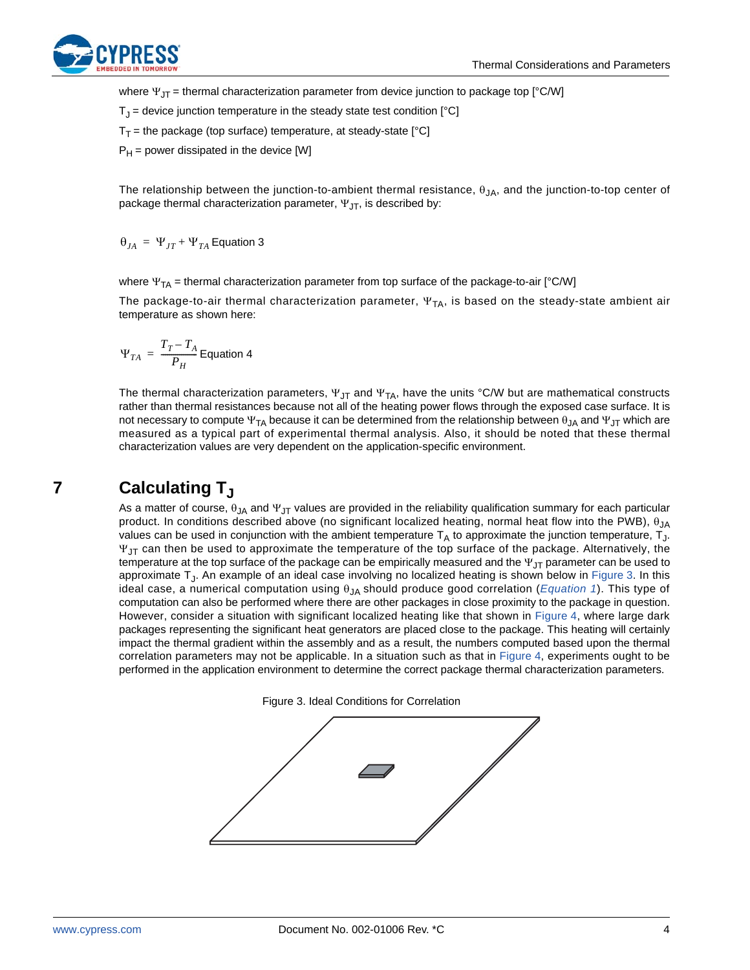

where  $\Psi_{IT}$  = thermal characterization parameter from device junction to package top [°C/W]

 $T_{\rm J}$  = device junction temperature in the steady state test condition  $[°C]$ 

 $T_T$  = the package (top surface) temperature, at steady-state [°C]

 $P_H$  = power dissipated in the device [W]

The relationship between the junction-to-ambient thermal resistance,  $\theta_{JA}$ , and the junction-to-top center of package thermal characterization parameter,  $\Psi_{\text{IT}}$ , is described by:

 $\Theta_{JA}$  =  $\Psi_{JT}$  +  $\Psi_{TA}$  Equation 3

where  $\Psi_{TA}$  = thermal characterization parameter from top surface of the package-to-air [°C/W]

The package-to-air thermal characterization parameter,  $\Psi_{TA}$ , is based on the steady-state ambient air temperature as shown here:

$$
\Psi_{TA} = \frac{T_T - T_A}{P_H}
$$
 Equation 4

The thermal characterization parameters,  $\Psi_{\text{JT}}$  and  $\Psi_{\text{TA}}$ , have the units °C/W but are mathematical constructs rather than thermal resistances because not all of the heating power flows through the exposed case surface. It is not necessary to compute  $\Psi_{TA}$  because it can be determined from the relationship between  $\theta_{JA}$  and  $\Psi_{JT}$  which are measured as a typical part of experimental thermal analysis. Also, it should be noted that these thermal characterization values are very dependent on the application-specific environment.

### **7 Calculating T**<sub>J</sub>

As a matter of course,  $\theta_{JA}$  and  $\Psi_{JT}$  values are provided in the reliability qualification summary for each particular product. In conditions described above (no significant localized heating, normal heat flow into the PWB),  $\theta_{JA}$ values can be used in conjunction with the ambient temperature  $T_A$  to approximate the junction temperature,  $T_J$ .  $\Psi_{\text{IT}}$  can then be used to approximate the temperature of the top surface of the package. Alternatively, the temperature at the top surface of the package can be empirically measured and the  $\Psi_{\text{JT}}$  parameter can be used to approximate TJ. An example of an ideal case involving no localized heating is shown below in [Figure 3.](#page-3-0) In this ideal case, a numerical computation using  $\theta_{JA}$  should produce good correlation (*[Equation 1](#page-0-0)*). This type of computation can also be performed where there are other packages in close proximity to the package in question. However, consider a situation with significant localized heating like that shown in [Figure 4](#page-4-0), where large dark packages representing the significant heat generators are placed close to the package. This heating will certainly impact the thermal gradient within the assembly and as a result, the numbers computed based upon the thermal correlation parameters may not be applicable. In a situation such as that in [Figure 4,](#page-4-0) experiments ought to be performed in the application environment to determine the correct package thermal characterization parameters.



<span id="page-3-0"></span>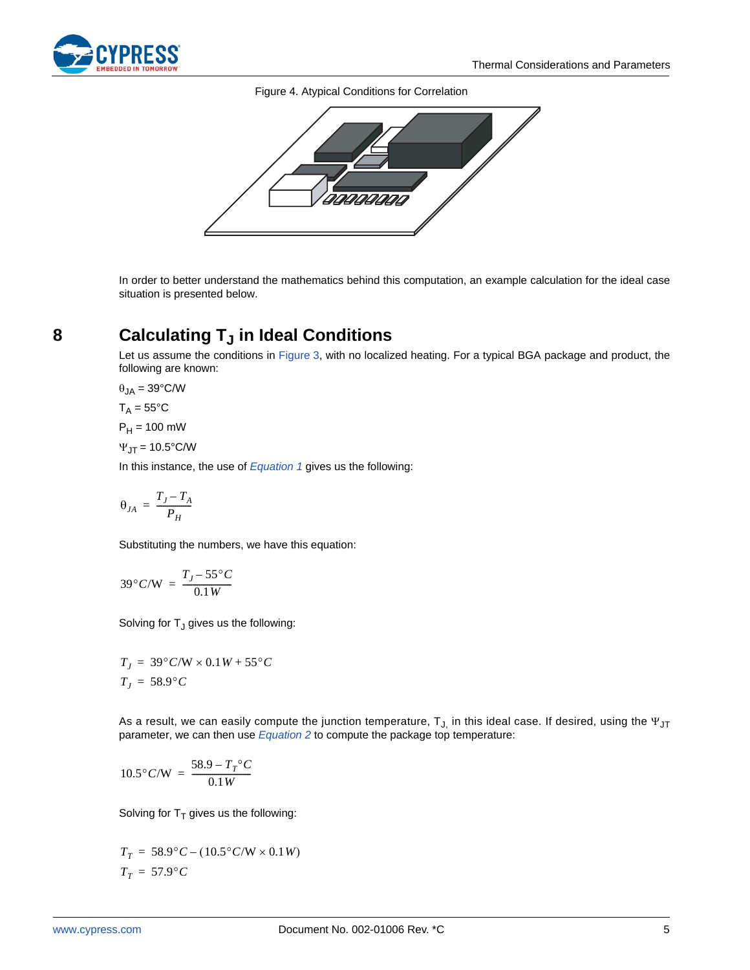<span id="page-4-0"></span>

Figure 4. Atypical Conditions for Correlation



In order to better understand the mathematics behind this computation, an example calculation for the ideal case situation is presented below.

## **8 Calculating T<sub>J</sub> in Ideal Conditions**

Let us assume the conditions in [Figure 3,](#page-3-0) with no localized heating. For a typical BGA package and product, the following are known:

$$
\theta_{JA} = 39^{\circ} \text{C/W}
$$

 $T_A = 55^{\circ}C$ 

 $P_H = 100$  mW

 $\Psi_{J} = 10.5^{\circ}$ C/W

In this instance, the use of *[Equation 1](#page-0-0)* gives us the following:

$$
\theta_{JA}\,=\,\frac{T_J-T_A}{P_H}
$$

Substituting the numbers, we have this equation:

$$
39^{\circ}C/W = \frac{T_J - 55^{\circ}C}{0.1W}
$$

Solving for  $T_J$  gives us the following:

$$
T_J = 39^{\circ} C/W \times 0.1 W + 55^{\circ} C
$$
  

$$
T_J = 58.9^{\circ} C
$$

As a result, we can easily compute the junction temperature,  $T_{J}$  in this ideal case. If desired, using the  $\Psi_{J}$ parameter, we can then use *[Equation 2](#page-2-1)* to compute the package top temperature:

$$
10.5^{\circ} C/W = \frac{58.9 - T_T^{\circ} C}{0.1 W}
$$

Solving for  $T<sub>T</sub>$  gives us the following:

$$
T_T = 58.9^{\circ}C - (10.5^{\circ}C/W \times 0.1W)
$$
  

$$
T_T = 57.9^{\circ}C
$$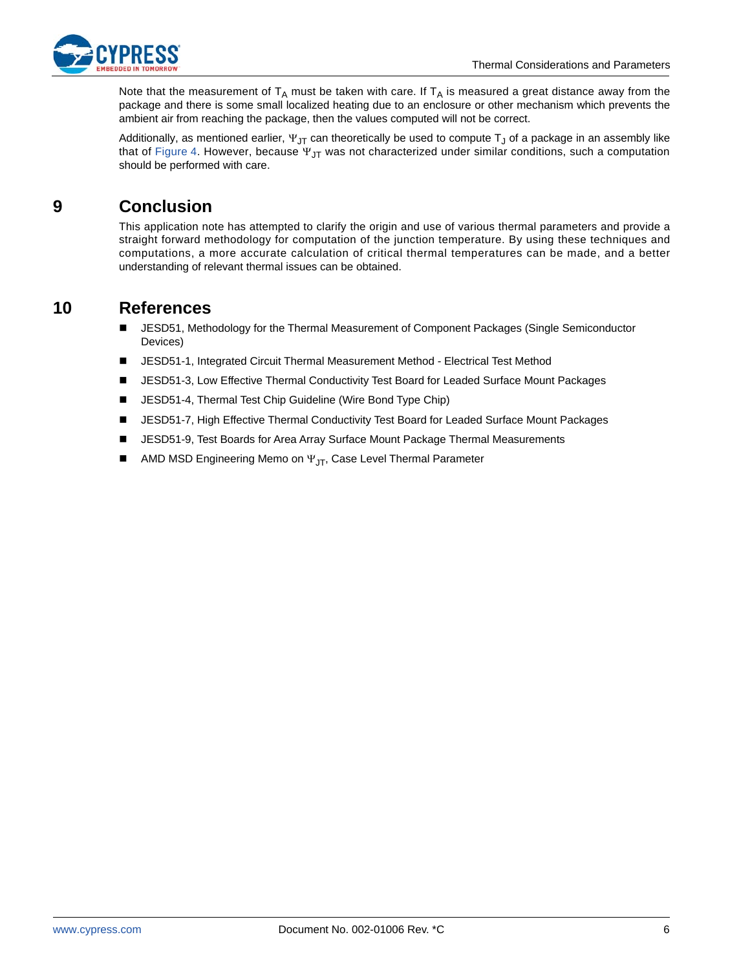

Note that the measurement of  $T_A$  must be taken with care. If  $T_A$  is measured a great distance away from the package and there is some small localized heating due to an enclosure or other mechanism which prevents the ambient air from reaching the package, then the values computed will not be correct.

Additionally, as mentioned earlier,  $\Psi_{\text{JT}}$  can theoretically be used to compute T<sub>J</sub> of a package in an assembly like that of [Figure 4.](#page-4-0) However, because  $\Psi_{\text{JT}}$  was not characterized under similar conditions, such a computation should be performed with care.

### **9 Conclusion**

This application note has attempted to clarify the origin and use of various thermal parameters and provide a straight forward methodology for computation of the junction temperature. By using these techniques and computations, a more accurate calculation of critical thermal temperatures can be made, and a better understanding of relevant thermal issues can be obtained.

#### <span id="page-5-0"></span>**10 References**

- JESD51, Methodology for the Thermal Measurement of Component Packages (Single Semiconductor Devices)
- JESD51-1, Integrated Circuit Thermal Measurement Method Electrical Test Method
- JESD51-3, Low Effective Thermal Conductivity Test Board for Leaded Surface Mount Packages
- JESD51-4, Thermal Test Chip Guideline (Wire Bond Type Chip)
- JESD51-7, High Effective Thermal Conductivity Test Board for Leaded Surface Mount Packages
- JESD51-9, Test Boards for Area Array Surface Mount Package Thermal Measurements
- AMD MSD Engineering Memo on  $\Psi_{\text{JT}}$ , Case Level Thermal Parameter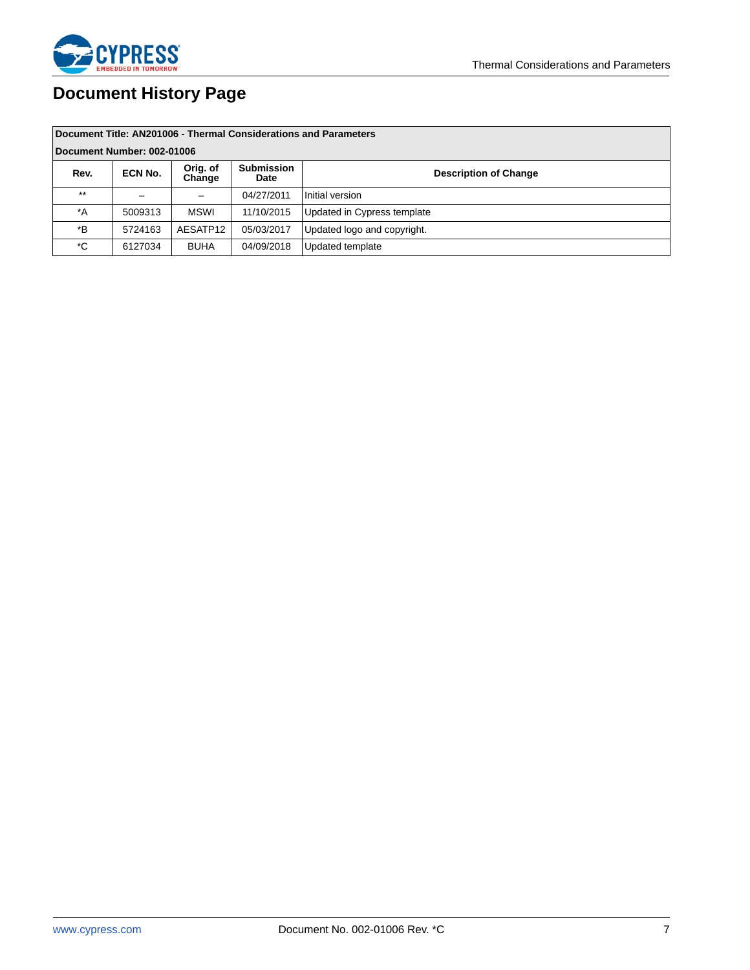

# **Document History Page**

| Document Title: AN201006 - Thermal Considerations and Parameters |         |                    |                           |                              |  |
|------------------------------------------------------------------|---------|--------------------|---------------------------|------------------------------|--|
| Document Number: 002-01006                                       |         |                    |                           |                              |  |
| Rev.                                                             | ECN No. | Orig. of<br>Change | <b>Submission</b><br>Date | <b>Description of Change</b> |  |
| $***$                                                            |         |                    | 04/27/2011                | Initial version              |  |
| $^*A$                                                            | 5009313 | <b>MSWI</b>        | 11/10/2015                | Updated in Cypress template  |  |
| *B                                                               | 5724163 | AESATP12           | 05/03/2017                | Updated logo and copyright.  |  |
| *C                                                               | 6127034 | <b>BUHA</b>        | 04/09/2018                | Updated template             |  |